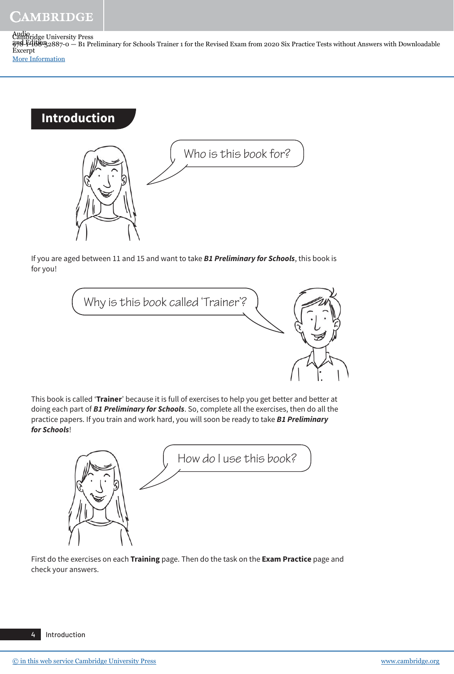Cambridge University Press 978-1-108-52887-0 — B1 Preliminary for Schools Trainer 1 for the Revised Exam from 2020 Six Practice Tests without Answers with Downloadable Audio 2nd Edition Excerpt [More Information](www.cambridge.org/9781108528870)

# **Introduction**



If you are aged between 11 and 15 and want to take **B1 Preliminary for Schools**, this book is for you!

Why is this book called 'Trainer'?

This book is called '**Trainer**' because it is full of exercises to help you get better and better at doing each part of **B1 Preliminary for Schools**. So, complete all the exercises, then do all the practice papers. If you train and work hard, you will soon be ready to take **B1 Preliminary for Schools**!



First do the exercises on each **Training** page. Then do the task on the **Exam Practice** page and check your answers.

4 Introduction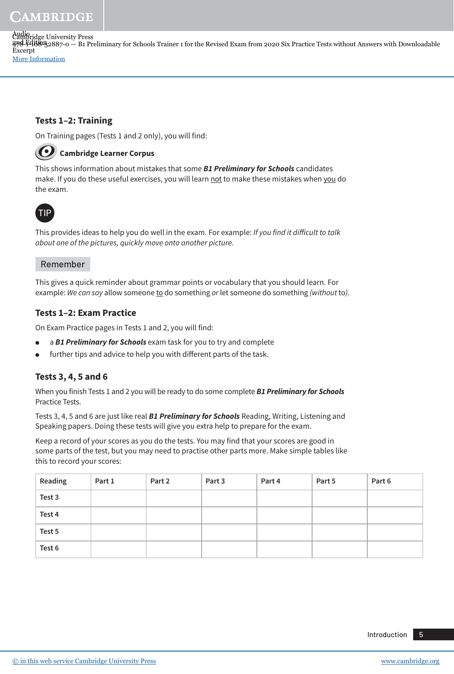## CAMBRIDGE

Cambridge University Press 978-1-108-52887-0 — B1 Preliminary for Schools Trainer 1 for the Revised Exam from 2020 Six Practice Tests without Answers with Downloadable Audio 2nd Edition Excerpt [More Information](www.cambridge.org/9781108528870)

#### **Tests 1–2: Training**

On Training pages (Tests 1 and 2 only), you will find:

## **Cambridge Learner Corpus**

This shows information about mistakes that some **B1 Preliminary for Schools** candidates make. If you do these useful exercises, you will learn not to make these mistakes when you do the exam.



This provides ideas to help you do well in the exam. For example: If you find it difficult to talk about one of the pictures, quickly move onto another picture.

#### Remember

This gives a quick reminder about grammar points or vocabulary that you should learn. For example: We can say allow someone to do something or let someone do something (without to).

#### **Tests 1–2: Exam Practice**

On Exam Practice pages in Tests 1 and 2, you will find:

- a **B1 Preliminary for Schools** exam task for you to try and complete
- further tips and advice to help you with different parts of the task.

#### **Tests 3, 4, 5 and 6**

When you finish Tests 1 and 2 you will be ready to do some complete **B1 Preliminary for Schools**  Practice Tests.

Tests 3, 4, 5 and 6 are just like real **B1 Preliminary for Schools** Reading, Writing, Listening and Speaking papers. Doing these tests will give you extra help to prepare for the exam.

Keep a record of your scores as you do the tests. You may find that your scores are good in some parts of the test, but you may need to practise other parts more. Make simple tables like this to record your scores:

| Reading | Part 1 | Part 2 | Part 3 | Part 4 | Part 5 | Part 6 |
|---------|--------|--------|--------|--------|--------|--------|
| Test 3  |        |        |        |        |        |        |
| Test 4  |        |        |        |        |        |        |
| Test 5  |        |        |        |        |        |        |
| Test 6  |        |        |        |        |        |        |